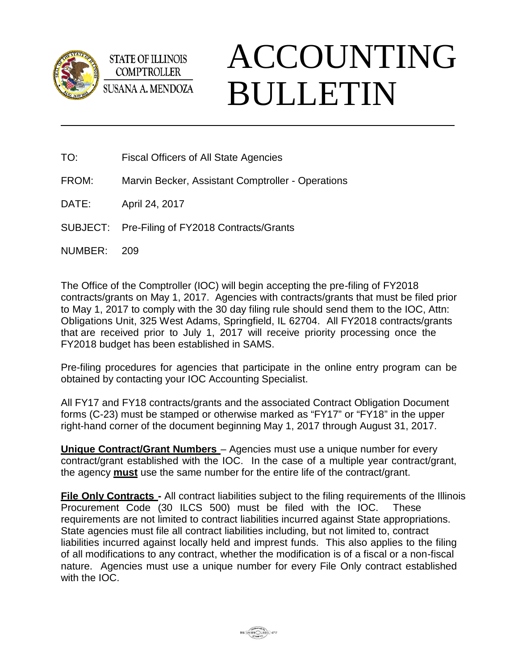

**STATE OF ILLINOIS COMPTROLLER SUSANA A. MENDOZA** 

## ACCOUNTING BULLETIN

- TO: Fiscal Officers of All State Agencies
- FROM: Marvin Becker, Assistant Comptroller Operations
- DATE: April 24, 2017
- SUBJECT: Pre-Filing of FY2018 Contracts/Grants
- NUMBER: 209

The Office of the Comptroller (IOC) will begin accepting the pre-filing of FY2018 contracts/grants on May 1, 2017. Agencies with contracts/grants that must be filed prior to May 1, 2017 to comply with the 30 day filing rule should send them to the IOC, Attn: Obligations Unit, 325 West Adams, Springfield, IL 62704. All FY2018 contracts/grants that are received prior to July 1, 2017 will receive priority processing once the FY2018 budget has been established in SAMS.

Pre-filing procedures for agencies that participate in the online entry program can be obtained by contacting your IOC Accounting Specialist.

All FY17 and FY18 contracts/grants and the associated Contract Obligation Document forms (C-23) must be stamped or otherwise marked as "FY17" or "FY18" in the upper right-hand corner of the document beginning May 1, 2017 through August 31, 2017.

**Unique Contract/Grant Numbers** – Agencies must use a unique number for every contract/grant established with the IOC. In the case of a multiple year contract/grant, the agency **must** use the same number for the entire life of the contract/grant.

**File Only Contracts -** All contract liabilities subject to the filing requirements of the Illinois Procurement Code (30 ILCS 500) must be filed with the IOC. These requirements are not limited to contract liabilities incurred against State appropriations. State agencies must file all contract liabilities including, but not limited to, contract liabilities incurred against locally held and imprest funds. This also applies to the filing of all modifications to any contract, whether the modification is of a fiscal or a non-fiscal nature. Agencies must use a unique number for every File Only contract established with the IOC.